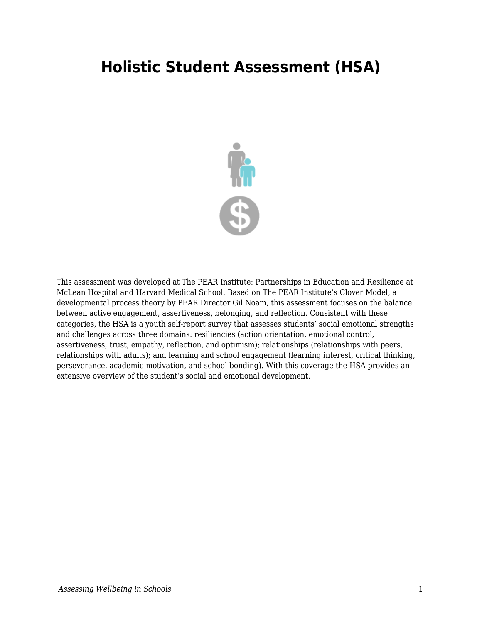## **Holistic Student Assessment (HSA)**



This assessment was developed at The PEAR Institute: Partnerships in Education and Resilience at McLean Hospital and Harvard Medical School. Based on The PEAR Institute's Clover Model, a developmental process theory by PEAR Director Gil Noam, this assessment focuses on the balance between active engagement, assertiveness, belonging, and reflection. Consistent with these categories, the HSA is a youth self-report survey that assesses students' social emotional strengths and challenges across three domains: resiliencies (action orientation, emotional control, assertiveness, trust, empathy, reflection, and optimism); relationships (relationships with peers, relationships with adults); and learning and school engagement (learning interest, critical thinking, perseverance, academic motivation, and school bonding). With this coverage the HSA provides an extensive overview of the student's social and emotional development.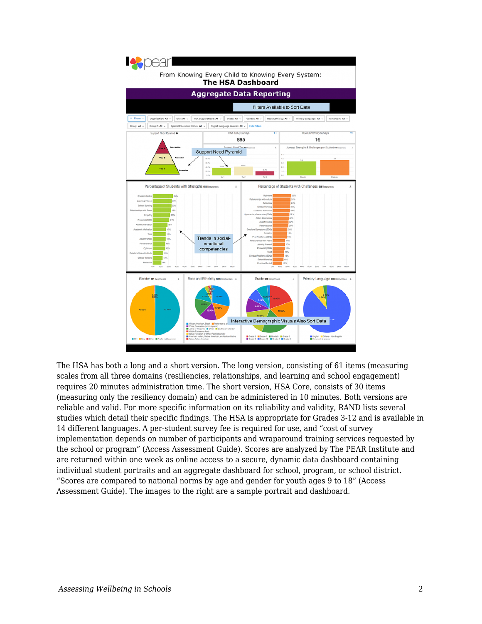

The HSA has both a long and a short version. The long version, consisting of 61 items (measuring scales from all three domains (resiliencies, relationships, and learning and school engagement) requires 20 minutes administration time. The short version, HSA Core, consists of 30 items (measuring only the resiliency domain) and can be administered in 10 minutes. Both versions are reliable and valid. For more specific information on its reliability and validity, RAND lists several studies which detail their specific findings. The HSA is appropriate for Grades 3-12 and is available in 14 different languages. A per-student survey fee is required for use, and "cost of survey implementation depends on number of participants and wraparound training services requested by the school or program" (Access Assessment Guide). Scores are analyzed by The PEAR Institute and are returned within one week as online access to a secure, dynamic data dashboard containing individual student portraits and an aggregate dashboard for school, program, or school district. "Scores are compared to national norms by age and gender for youth ages 9 to 18" (Access Assessment Guide). The images to the right are a sample portrait and dashboard.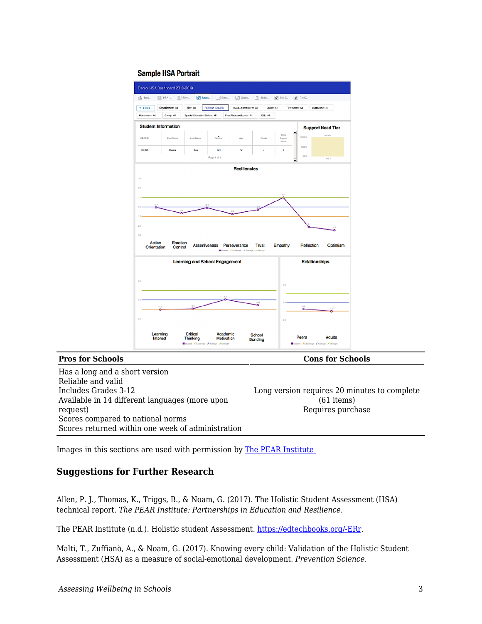

Has a long and a short version Reliable and valid Includes Grades 3-12 Available in 14 different languages (more upon request) Scores compared to national norms Scores returned within one week of administration

**Pros for Schools Cons for Schools Cons for Schools** 

Long version requires 20 minutes to complete (61 items) Requires purchase

Images in this sections are used with permission by [The PEAR Institute](https://www.thepearinstitute.org/holistic-student-assessment) 

## **Suggestions for Further Research**

Allen, P. J., Thomas, K., Triggs, B., & Noam, G. (2017). The Holistic Student Assessment (HSA) technical report. *The PEAR Institute: Partnerships in Education and Resilience.*

The PEAR Institute (n.d.). Holistic student Assessment. [https://edtechbooks.org/-ERr](https://www.thepearinstitute.org/holistic-student-assessment).

Malti, T., Zuffianò, A., & Noam, G. (2017). Knowing every child: Validation of the Holistic Student Assessment (HSA) as a measure of social-emotional development. *Prevention Science.*